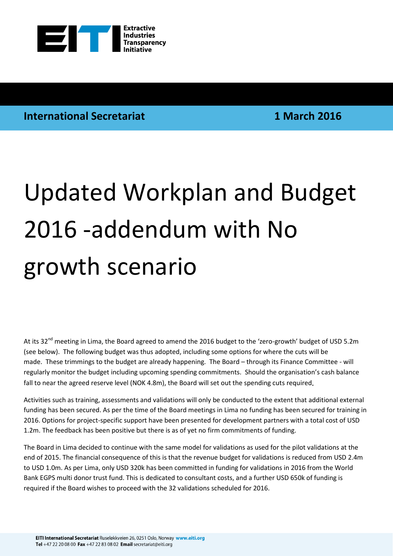

## **International Secretariat 1 March 2016**

# Updated Workplan and Budget 2016 -addendum with No growth scenario

At its 32<sup>nd</sup> meeting in Lima, the Board agreed to amend the 2016 budget to the 'zero-growth' budget of USD 5.2m (see below). The following budget was thus adopted, including some options for where the cuts will be made. These trimmings to the budget are already happening. The Board – through its Finance Committee - will regularly monitor the budget including upcoming spending commitments. Should the organisation's cash balance fall to near the agreed reserve level (NOK 4.8m), the Board will set out the spending cuts required.

Activities such as training, assessments and validations will only be conducted to the extent that additional external funding has been secured. As per the time of the Board meetings in Lima no funding has been secured for training in 2016. Options for project-specific support have been presented for development partners with a total cost of USD 1.2m. The feedback has been positive but there is as of yet no firm commitments of funding.

The Board in Lima decided to continue with the same model for validations as used for the pilot validations at the end of 2015. The financial consequence of this is that the revenue budget for validations is reduced from USD 2.4m to USD 1.0m. As per Lima, only USD 320k has been committed in funding for validations in 2016 from the World Bank EGPS multi donor trust fund. This is dedicated to consultant costs, and a further USD 650k of funding is required if the Board wishes to proceed with the 32 validations scheduled for 2016.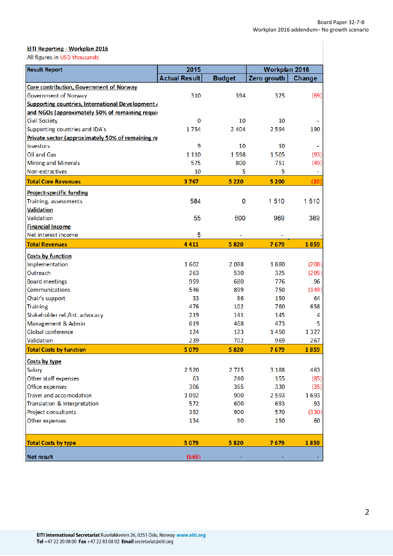### **EITI Reporting - Workplan 2016**

All figures in USD thousands

| 2015<br><b>Result Report</b>                            |                      |               | Workplan 2016 |        |
|---------------------------------------------------------|----------------------|---------------|---------------|--------|
|                                                         | <b>Actual Result</b> | <b>Budget</b> | Zero growth   | Change |
| Core contribution, Government of Norway                 |                      |               |               |        |
| Government of Norway                                    | 310                  | 394           | 325           | (69)   |
| <b>Supporting countries, International Development/</b> |                      |               |               |        |
| and NGOs (approximately 50% of remaining requir         |                      |               |               |        |
| <b>Civil Society</b>                                    | 0                    | 10            | 10            |        |
| Supporting countries and IDA's                          | 1754                 | 2 4 0 4       | 2594          | 190    |
| Private sector (approximately 50% of remaining re       |                      |               |               |        |
| <b>Investors</b>                                        | 9                    | 10            | 10            |        |
| Oil and Gas                                             | 1 1 1 0              | 1598          | 1505          | (93)   |
| Mining and Minerals                                     | 575                  | 800           | 751           | (49)   |
| Non-extractives                                         | 10                   | 5             | 5             |        |
| <b>Total Core Revenues</b>                              | 3767                 | 5 2 2 0       | 5 2 0 0       | (20)   |
| <b>Project-specific funding</b>                         |                      |               |               |        |
| Training, assessments                                   | 584                  | 0             | 1510          | 1510   |
| <b>Validation</b>                                       |                      |               |               |        |
| Validation                                              | 55                   | 600           | 969           | 369    |
| <b>Financial Income</b>                                 |                      |               |               |        |
| Net interest income                                     | 5                    |               |               |        |
| <b>Total Revenues</b>                                   | 4411                 | 5820          | 7679          | 1859   |
| Costs by function                                       |                      |               |               |        |
| Implementation                                          | 1602                 | 2088          | 1880          | (208)  |
| Outreach                                                | 263                  | 530           | 325           | (205)  |
| <b>Board meetings</b>                                   | 959                  | 680           | 776           | 96     |
| Communications                                          | 546                  | 899           | 750           | (149)  |
| Chair's support                                         | 33                   | 86            | 150           | 64     |
| <b>Training</b>                                         | 476                  | 102           | 760           | 658    |
| Stakeholder rel./Int. advocacy                          | 219                  | 141           | 145           | 4      |
| Management & Admin                                      | 619                  | 468           | 473           | 5      |
| Global conference                                       | 124                  | 123           | 1450          | 1327   |
| Validation                                              | 239                  | 702           | 969           | 267    |
| <b>Total Costs by function</b>                          | 5 0 7 9              | 5820          | 7679          | 1859   |
| Costs by type                                           |                      |               |               |        |
| Salary                                                  | 2520                 | 2725          | 3 1 8 8       | 463    |
| Other staff expenses                                    | 63                   | 240           | 155           | (85)   |
| Office expenses                                         | 306                  | 365           | 330           | (35)   |
| Travel and accomodation                                 | 1092                 | 900           | 2593          | 1693   |
| Translation & Interpretation                            | 572                  | 600           | 693           | 93     |
| Project consultants                                     | 392                  | 900           | 570           | (330)  |
| Other expenses                                          | 134                  | 90            | 150           | 60     |
|                                                         |                      |               |               |        |
| <b>Total Costs by type</b>                              | 5 0 7 9              | 5820          | 7679          | 1859   |
| Net result                                              | (669)                |               |               |        |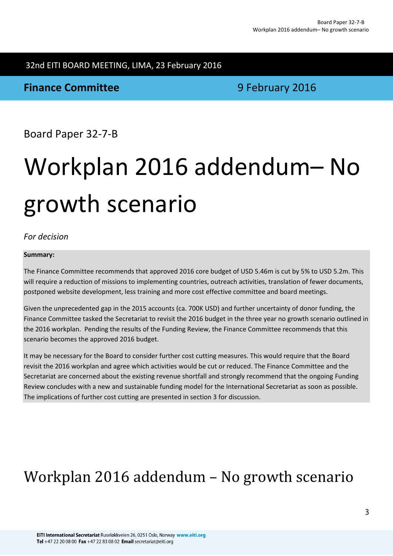# 32nd EITI BOARD MEETING, LIMA, 23 February 2016

### **Finance Committee 19 August 2016 9 February 2016**

Board Paper 32-7-B

# Workplan 2016 addendum– No growth scenario

### *For decision*

### **Summary:**

The Finance Committee recommends that approved 2016 core budget of USD 5.46m is cut by 5% to USD 5.2m. This will require a reduction of missions to implementing countries, outreach activities, translation of fewer documents, postponed website development, less training and more cost effective committee and board meetings.

Given the unprecedented gap in the 2015 accounts (ca. 700K USD) and further uncertainty of donor funding, the Finance Committee tasked the Secretariat to revisit the 2016 budget in the three year no growth scenario outlined in the 2016 workplan. Pending the results of the Funding Review, the Finance Committee recommends that this scenario becomes the approved 2016 budget.

It may be necessary for the Board to consider further cost cutting measures. This would require that the Board revisit the 2016 workplan and agree which activities would be cut or reduced. The Finance Committee and the Secretariat are concerned about the existing revenue shortfall and strongly recommend that the ongoing Funding Review concludes with a new and sustainable funding model for the International Secretariat as soon as possible. The implications of further cost cutting are presented in section 3 for discussion.

# Workplan 2016 addendum – No growth scenario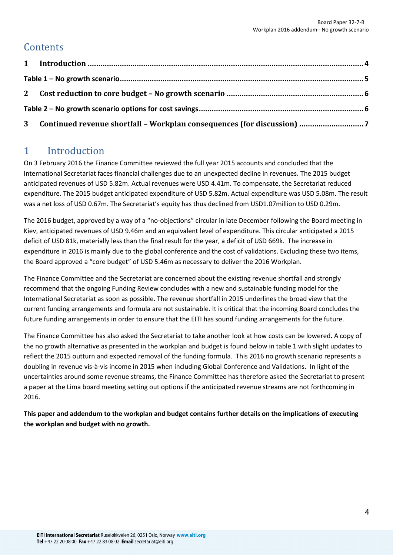## **Contents**

### <span id="page-3-0"></span>1 Introduction

On 3 February 2016 the Finance Committee reviewed the full year 2015 accounts and concluded that the International Secretariat faces financial challenges due to an unexpected decline in revenues. The 2015 budget anticipated revenues of USD 5.82m. Actual revenues were USD 4.41m. To compensate, the Secretariat reduced expenditure. The 2015 budget anticipated expenditure of USD 5.82m. Actual expenditure was USD 5.08m. The result was a net loss of USD 0.67m. The Secretariat's equity has thus declined from USD1.07million to USD 0.29m.

The 2016 budget, approved by a way of a "no-objections" circular in late December following the Board meeting in Kiev, anticipated revenues of USD 9.46m and an equivalent level of expenditure. This circular anticipated a 2015 deficit of USD 81k, materially less than the final result for the year, a deficit of USD 669k. The increase in expenditure in 2016 is mainly due to the global conference and the cost of validations. Excluding these two items, the Board approved a "core budget" of USD 5.46m as necessary to deliver the 2016 Workplan.

The Finance Committee and the Secretariat are concerned about the existing revenue shortfall and strongly recommend that the ongoing Funding Review concludes with a new and sustainable funding model for the International Secretariat as soon as possible. The revenue shortfall in 2015 underlines the broad view that the current funding arrangements and formula are not sustainable. It is critical that the incoming Board concludes the future funding arrangements in order to ensure that the EITI has sound funding arrangements for the future.

The Finance Committee has also asked the Secretariat to take another look at how costs can be lowered. A copy of the no growth alternative as presented in the workplan and budget is found below in table 1 with slight updates to reflect the 2015 outturn and expected removal of the funding formula. This 2016 no growth scenario represents a doubling in revenue vis-à-vis income in 2015 when including Global Conference and Validations. In light of the uncertainties around some revenue streams, the Finance Committee has therefore asked the Secretariat to present a paper at the Lima board meeting setting out options if the anticipated revenue streams are not forthcoming in 2016.

**This paper and addendum to the workplan and budget contains further details on the implications of executing the workplan and budget with no growth.**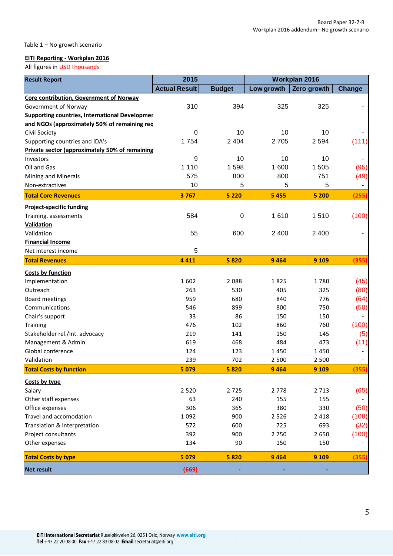#### <span id="page-4-0"></span>Table 1 – No growth scenario

### **EITI Reporting - Workplan 2016**

All figures in USD thousands

| <b>Result Report</b>                                  | 2015                 |                  | Workplan 2016 |             |                          |
|-------------------------------------------------------|----------------------|------------------|---------------|-------------|--------------------------|
|                                                       | <b>Actual Result</b> | <b>Budget</b>    | Low growth    | Zero growth | <b>Change</b>            |
| Core contribution, Government of Norway               |                      |                  |               |             |                          |
| Government of Norway                                  | 310                  | 394              | 325           | 325         |                          |
| <b>Supporting countries, International Developmer</b> |                      |                  |               |             |                          |
| and NGOs (approximately 50% of remaining req          |                      |                  |               |             |                          |
| Civil Society                                         | 0                    | 10               | 10            | 10          |                          |
| Supporting countries and IDA's                        | 1754                 | 2 4 0 4          | 2 7 0 5       | 2 5 9 4     | (111)                    |
| Private sector (approximately 50% of remaining        |                      |                  |               |             |                          |
| Investors                                             | 9                    | 10               | 10            | 10          |                          |
| Oil and Gas                                           | 1 1 1 0              | 1598             | 1 600         | 1 505       | (95)                     |
| Mining and Minerals                                   | 575                  | 800              | 800           | 751         | (49)                     |
| Non-extractives                                       | 10                   | 5                | 5             | 5           | $\overline{\phantom{0}}$ |
| <b>Total Core Revenues</b>                            | 3767                 | 5 2 2 0          | 5 4 5 5       | 5 200       | (255)                    |
| <b>Project-specific funding</b>                       |                      |                  |               |             |                          |
| Training, assessments                                 | 584                  | $\boldsymbol{0}$ | 1610          | 1510        | (100)                    |
| <b>Validation</b>                                     |                      |                  |               |             |                          |
| Validation                                            | 55                   | 600              | 2 4 0 0       | 2 4 0 0     |                          |
| <b>Financial Income</b>                               |                      |                  |               |             |                          |
| Net interest income                                   | 5                    |                  |               |             |                          |
| <b>Total Revenues</b>                                 | 4 4 1 1              | 5820             | 9 4 6 4       | 9 1 0 9     | (355)                    |
| <b>Costs by function</b>                              |                      |                  |               |             |                          |
| Implementation                                        | 1602                 | 2088             | 1825          | 1780        | (45)                     |
| Outreach                                              | 263                  | 530              | 405           | 325         | (80)                     |
| <b>Board meetings</b>                                 | 959                  | 680              | 840           | 776         | (64)                     |
| Communications                                        | 546                  | 899              | 800           | 750         | (50)                     |
| Chair's support                                       | 33                   | 86               | 150           | 150         |                          |
| Training                                              | 476                  | 102              | 860           | 760         | (100)                    |
| Stakeholder rel./Int. advocacy                        | 219                  | 141              | 150           | 145         | (5)                      |
| Management & Admin                                    | 619                  | 468              | 484           | 473         | (11)                     |
| Global conference                                     | 124                  | 123              | 1450          | 1450        |                          |
| Validation                                            | 239                  | 702              | 2 5 0 0       | 2 500       |                          |
| <b>Total Costs by function</b>                        | 5 0 7 9              | 5820             | 9 4 6 4       | 9 1 0 9     | 355                      |
| Costs by type                                         |                      |                  |               |             |                          |
| Salary                                                | 2 5 2 0              | 2725             | 2 7 7 8       | 2 7 1 3     | (65)                     |
| Other staff expenses                                  | 63                   | 240              | 155           | 155         |                          |
| Office expenses                                       | 306                  | 365              | 380           | 330         | (50)                     |
| Travel and accomodation                               | 1092                 | 900              | 2 5 2 6       | 2 4 1 8     | (108)                    |
| Translation & Interpretation                          | 572                  | 600              | 725           | 693         | (32)                     |
| Project consultants                                   | 392                  | 900              | 2 7 5 0       | 2650        | (100)                    |
| Other expenses                                        | 134                  | 90               | 150           | 150         |                          |
| <b>Total Costs by type</b>                            | 5 0 7 9              | 5820             | 9 4 6 4       | 9 1 0 9     | (355)                    |
| <b>Net result</b>                                     | (669)                |                  |               |             |                          |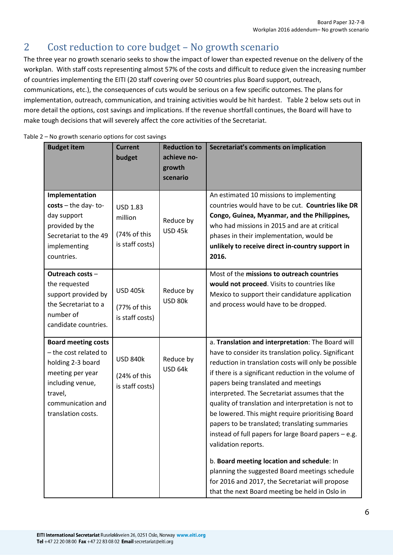# <span id="page-5-0"></span>2 Cost reduction to core budget – No growth scenario

The three year no growth scenario seeks to show the impact of lower than expected revenue on the delivery of the workplan. With staff costs representing almost 57% of the costs and difficult to reduce given the increasing number of countries implementing the EITI (20 staff covering over 50 countries plus Board support, outreach, communications, etc.), the consequences of cuts would be serious on a few specific outcomes. The plans for implementation, outreach, communication, and training activities would be hit hardest. Table 2 below sets out in more detail the options, cost savings and implications. If the revenue shortfall continues, the Board will have to make tough decisions that will severely affect the core activities of the Secretariat.

| <b>Budget item</b>                                                                                                                                                     | <b>Current</b><br>budget                                      | <b>Reduction to</b><br>achieve no-<br>growth<br>scenario | Secretariat's comments on implication                                                                                                                                                                                                                                                                                                                                                                                                                                                                                                                                                                                                                                                                                                                                |
|------------------------------------------------------------------------------------------------------------------------------------------------------------------------|---------------------------------------------------------------|----------------------------------------------------------|----------------------------------------------------------------------------------------------------------------------------------------------------------------------------------------------------------------------------------------------------------------------------------------------------------------------------------------------------------------------------------------------------------------------------------------------------------------------------------------------------------------------------------------------------------------------------------------------------------------------------------------------------------------------------------------------------------------------------------------------------------------------|
| Implementation<br>$costs$ – the day-to-<br>day support<br>provided by the<br>Secretariat to the 49<br>implementing<br>countries.                                       | <b>USD 1.83</b><br>million<br>(74% of this<br>is staff costs) | Reduce by<br><b>USD 45k</b>                              | An estimated 10 missions to implementing<br>countries would have to be cut. Countries like DR<br>Congo, Guinea, Myanmar, and the Philippines,<br>who had missions in 2015 and are at critical<br>phases in their implementation, would be<br>unlikely to receive direct in-country support in<br>2016.                                                                                                                                                                                                                                                                                                                                                                                                                                                               |
| Outreach costs -<br>the requested<br>support provided by<br>the Secretariat to a<br>number of<br>candidate countries.                                                  | <b>USD 405k</b><br>(77% of this<br>is staff costs)            | Reduce by<br><b>USD 80k</b>                              | Most of the missions to outreach countries<br>would not proceed. Visits to countries like<br>Mexico to support their candidature application<br>and process would have to be dropped.                                                                                                                                                                                                                                                                                                                                                                                                                                                                                                                                                                                |
| <b>Board meeting costs</b><br>- the cost related to<br>holding 2-3 board<br>meeting per year<br>including venue,<br>travel,<br>communication and<br>translation costs. | <b>USD 840k</b><br>(24% of this<br>is staff costs)            | Reduce by<br>USD 64k                                     | a. Translation and interpretation: The Board will<br>have to consider its translation policy. Significant<br>reduction in translation costs will only be possible<br>if there is a significant reduction in the volume of<br>papers being translated and meetings<br>interpreted. The Secretariat assumes that the<br>quality of translation and interpretation is not to<br>be lowered. This might require prioritising Board<br>papers to be translated; translating summaries<br>instead of full papers for large Board papers - e.g.<br>validation reports.<br>b. Board meeting location and schedule: In<br>planning the suggested Board meetings schedule<br>for 2016 and 2017, the Secretariat will propose<br>that the next Board meeting be held in Oslo in |

<span id="page-5-1"></span>Table 2 – No growth scenario options for cost savings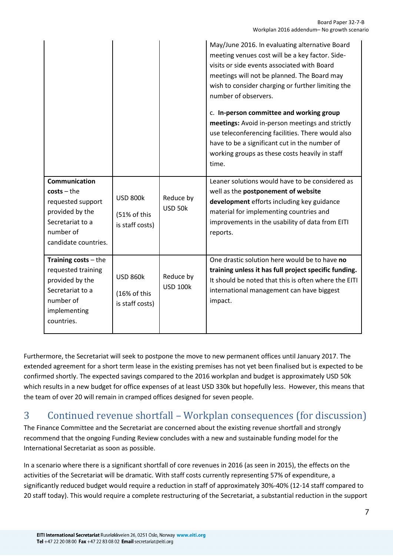|                                                                                                                                 |                                                    |                              | May/June 2016. In evaluating alternative Board<br>meeting venues cost will be a key factor. Side-<br>visits or side events associated with Board<br>meetings will not be planned. The Board may<br>wish to consider charging or further limiting the<br>number of observers.<br>c. In-person committee and working group<br>meetings: Avoid in-person meetings and strictly<br>use teleconferencing facilities. There would also<br>have to be a significant cut in the number of<br>working groups as these costs heavily in staff<br>time. |
|---------------------------------------------------------------------------------------------------------------------------------|----------------------------------------------------|------------------------------|----------------------------------------------------------------------------------------------------------------------------------------------------------------------------------------------------------------------------------------------------------------------------------------------------------------------------------------------------------------------------------------------------------------------------------------------------------------------------------------------------------------------------------------------|
| Communication<br>$costs - the$<br>requested support<br>provided by the<br>Secretariat to a<br>number of<br>candidate countries. | <b>USD 800k</b><br>(51% of this<br>is staff costs) | Reduce by<br><b>USD 50k</b>  | Leaner solutions would have to be considered as<br>well as the postponement of website<br>development efforts including key guidance<br>material for implementing countries and<br>improvements in the usability of data from EITI<br>reports.                                                                                                                                                                                                                                                                                               |
| Training $costs - the$<br>requested training<br>provided by the<br>Secretariat to a<br>number of<br>implementing<br>countries.  | <b>USD 860k</b><br>(16% of this<br>is staff costs) | Reduce by<br><b>USD 100k</b> | One drastic solution here would be to have no<br>training unless it has full project specific funding.<br>It should be noted that this is often where the EITI<br>international management can have biggest<br>impact.                                                                                                                                                                                                                                                                                                                       |

Furthermore, the Secretariat will seek to postpone the move to new permanent offices until January 2017. The extended agreement for a short term lease in the existing premises has not yet been finalised but is expected to be confirmed shortly. The expected savings compared to the 2016 workplan and budget is approximately USD 50k which results in a new budget for office expenses of at least USD 330k but hopefully less. However, this means that the team of over 20 will remain in cramped offices designed for seven people.

### <span id="page-6-0"></span>3 Continued revenue shortfall – Workplan consequences (for discussion)

The Finance Committee and the Secretariat are concerned about the existing revenue shortfall and strongly recommend that the ongoing Funding Review concludes with a new and sustainable funding model for the International Secretariat as soon as possible.

In a scenario where there is a significant shortfall of core revenues in 2016 (as seen in 2015), the effects on the activities of the Secretariat will be dramatic. With staff costs currently representing 57% of expenditure, a significantly reduced budget would require a reduction in staff of approximately 30%-40% (12-14 staff compared to 20 staff today). This would require a complete restructuring of the Secretariat, a substantial reduction in the support